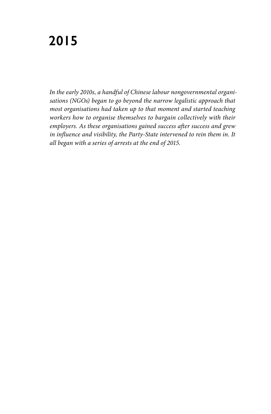*In the early 2010s, a handful of Chinese labour nongovernmental organisations (NGOs) began to go beyond the narrow legalistic approach that most organisations had taken up to that moment and started teaching workers how to organise themselves to bargain collectively with their employers. As these organisations gained success after success and grew in influence and visibility, the Party-State intervened to rein them in. It all began with a series of arrests at the end of 2015.*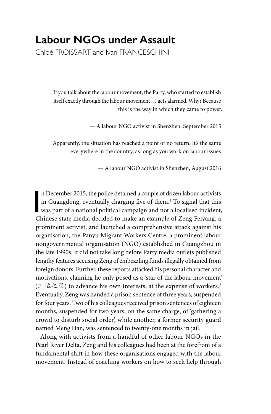# **Labour NGOs under Assault**

Chloé FROISSART and Ivan FRANCESCHINI

If you talk about the labour movement, the Party, who started to establish itself exactly through the labour movement … gets alarmed. Why? Because this is the way in which they came to power.

— A labour NGO activist in Shenzhen, September 2015

Apparently, the situation has reached a point of no return. It's the same everywhere in the country, as long as you work on labour issues.

— A labour NGO activist in Shenzhen, August 2016

n December 2015, the police detained a couple of dozen labour activists<br>in Guangdong, eventually charging five of them.<sup>1</sup> To signal that this<br>was part of a national political campaign and not a localised incident,<br>chinese n December 2015, the police detained a couple of dozen labour activists in Guangdong, eventually charging five of them.1 To signal that this Chinese state media decided to make an example of Zeng Feiyang, a prominent activist, and launched a comprehensive attack against his organisation, the Panyu Migrant Workers Centre, a prominent labour nongovernmental organisation (NGO) established in Guangzhou in the late 1990s. It did not take long before Party media outlets published lengthy features accusing Zeng of embezzling funds illegally obtained from foreign donors. Further, these reports attacked his personal character and motivations, claiming he only posed as a 'star of the labour movement' (工运之星) to advance his own interests, at the expense of workers.2 Eventually, Zeng was handed a prison sentence of three years, suspended for four years. Two of his colleagues received prison sentences of eighteen months, suspended for two years, on the same charge, of 'gathering a crowd to disturb social order', while another, a former security guard named Meng Han, was sentenced to twenty-one months in jail.

Along with activists from a handful of other labour NGOs in the Pearl River Delta, Zeng and his colleagues had been at the forefront of a fundamental shift in how these organisations engaged with the labour movement. Instead of coaching workers on how to seek help through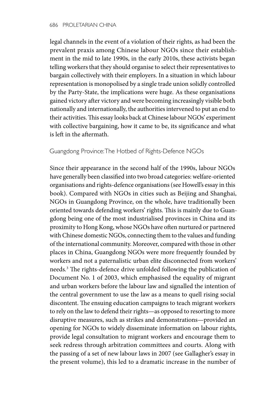legal channels in the event of a violation of their rights, as had been the prevalent praxis among Chinese labour NGOs since their establishment in the mid to late 1990s, in the early 2010s, these activists began telling workers that they should organise to select their representatives to bargain collectively with their employers. In a situation in which labour representation is monopolised by a single trade union solidly controlled by the Party-State, the implications were huge. As these organisations gained victory after victory and were becoming increasingly visible both nationally and internationally, the authorities intervened to put an end to their activities. This essay looks back at Chinese labour NGOs' experiment with collective bargaining, how it came to be, its significance and what is left in the aftermath.

## Guangdong Province: The Hotbed of Rights-Defence NGOs

Since their appearance in the second half of the 1990s, labour NGOs have generally been classified into two broad categories: welfare-oriented organisations and rights-defence organisations (see Howell's essay in this book). Compared with NGOs in cities such as Beijing and Shanghai, NGOs in Guangdong Province, on the whole, have traditionally been oriented towards defending workers' rights. This is mainly due to Guangdong being one of the most industrialised provinces in China and its proximity to Hong Kong, whose NGOs have often nurtured or partnered with Chinese domestic NGOs, connecting them to the values and funding of the international community. Moreover, compared with those in other places in China, Guangdong NGOs were more frequently founded by workers and not a paternalistic urban elite disconnected from workers' needs*.* 3 The rights-defence drive unfolded following the publication of Document No. 1 of 2003, which emphasised the equality of migrant and urban workers before the labour law and signalled the intention of the central government to use the law as a means to quell rising social discontent. The ensuing education campaigns to teach migrant workers to rely on the law to defend their rights—as opposed to resorting to more disruptive measures, such as strikes and demonstrations—provided an opening for NGOs to widely disseminate information on labour rights, provide legal consultation to migrant workers and encourage them to seek redress through arbitration committees and courts. Along with the passing of a set of new labour laws in 2007 (see Gallagher's essay in the present volume), this led to a dramatic increase in the number of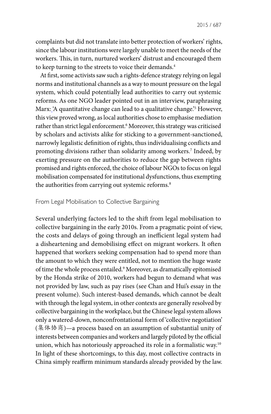complaints but did not translate into better protection of workers' rights, since the labour institutions were largely unable to meet the needs of the workers. This, in turn, nurtured workers' distrust and encouraged them to keep turning to the streets to voice their demands.<sup>4</sup>

At first, some activists saw such a rights-defence strategy relying on legal norms and institutional channels as a way to mount pressure on the legal system, which could potentially lead authorities to carry out systemic reforms. As one NGO leader pointed out in an interview, paraphrasing Marx: 'A quantitative change can lead to a qualitative change.'5 However, this view proved wrong, as local authorities chose to emphasise mediation rather than strict legal enforcement.6 Moreover, this strategy was criticised by scholars and activists alike for sticking to a government-sanctioned, narrowly legalistic definition of rights, thus individualising conflicts and promoting divisions rather than solidarity among workers.7 Indeed, by exerting pressure on the authorities to reduce the gap between rights promised and rights enforced, the choice of labour NGOs to focus on legal mobilisation compensated for institutional dysfunctions, thus exempting the authorities from carrying out systemic reforms.<sup>8</sup>

#### From Legal Mobilisation to Collective Bargaining

Several underlying factors led to the shift from legal mobilisation to collective bargaining in the early 2010s. From a pragmatic point of view, the costs and delays of going through an inefficient legal system had a disheartening and demobilising effect on migrant workers. It often happened that workers seeking compensation had to spend more than the amount to which they were entitled, not to mention the huge waste of time the whole process entailed.9 Moreover, as dramatically epitomised by the Honda strike of 2010, workers had begun to demand what was not provided by law, such as pay rises (see Chan and Hui's essay in the present volume). Such interest-based demands, which cannot be dealt with through the legal system, in other contexts are generally resolved by collective bargaining in the workplace, but the Chinese legal system allows only a watered-down, nonconfrontational form of 'collective negotiation' (集体协商)—a process based on an assumption of substantial unity of interests between companies and workers and largely piloted by the official union, which has notoriously approached its role in a formalistic way.10 In light of these shortcomings, to this day, most collective contracts in China simply reaffirm minimum standards already provided by the law.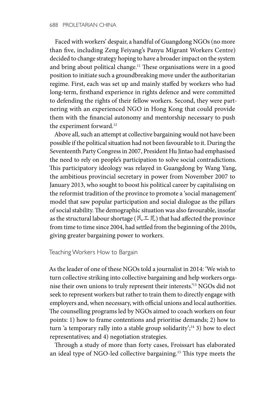Faced with workers' despair, a handful of Guangdong NGOs (no more than five, including Zeng Feiyang's Panyu Migrant Workers Centre) decided to change strategy hoping to have a broader impact on the system and bring about political change.<sup>11</sup> These organisations were in a good position to initiate such a groundbreaking move under the authoritarian regime. First, each was set up and mainly staffed by workers who had long-term, firsthand experience in rights defence and were committed to defending the rights of their fellow workers. Second, they were partnering with an experienced NGO in Hong Kong that could provide them with the financial autonomy and mentorship necessary to push the experiment forward.<sup>12</sup>

Above all, such an attempt at collective bargaining would not have been possible if the political situation had not been favourable to it. During the Seventeenth Party Congress in 2007, President Hu Jintao had emphasised the need to rely on people's participation to solve social contradictions. This participatory ideology was relayed in Guangdong by Wang Yang, the ambitious provincial secretary in power from November 2007 to January 2013, who sought to boost his political career by capitalising on the reformist tradition of the province to promote a 'social management' model that saw popular participation and social dialogue as the pillars of social stability. The demographic situation was also favourable, insofar as the structural labour shortage ( $\mathbb{R} \perp \ddot{\tilde{\pi}}$ ) that had affected the province from time to time since 2004, had settled from the beginning of the 2010s, giving greater bargaining power to workers.

### Teaching Workers How to Bargain

As the leader of one of these NGOs told a journalist in 2014: 'We wish to turn collective striking into collective bargaining and help workers organise their own unions to truly represent their interests.'13 NGOs did not seek to represent workers but rather to train them to directly engage with employers and, when necessary, with official unions and local authorities. The counselling programs led by NGOs aimed to coach workers on four points: 1) how to frame contentions and prioritise demands; 2) how to turn 'a temporary rally into a stable group solidarity'; $^{14}$  3) how to elect representatives; and 4) negotiation strategies.

Through a study of more than forty cases, Froissart has elaborated an ideal type of NGO-led collective bargaining.15 This type meets the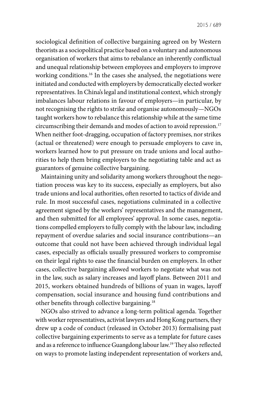sociological definition of collective bargaining agreed on by Western theorists as a sociopolitical practice based on a voluntary and autonomous organisation of workers that aims to rebalance an inherently conflictual and unequal relationship between employees and employers to improve working conditions.16 In the cases she analysed, the negotiations were initiated and conducted with employers by democratically elected worker representatives. In China's legal and institutional context, which strongly imbalances labour relations in favour of employers—in particular, by not recognising the rights to strike and organise autonomously—NGOs taught workers how to rebalance this relationship while at the same time circumscribing their demands and modes of action to avoid repression.17 When neither foot-dragging, occupation of factory premises, nor strikes (actual or threatened) were enough to persuade employers to cave in, workers learned how to put pressure on trade unions and local authorities to help them bring employers to the negotiating table and act as guarantors of genuine collective bargaining.

Maintaining unity and solidarity among workers throughout the negotiation process was key to its success, especially as employers, but also trade unions and local authorities, often resorted to tactics of divide and rule. In most successful cases, negotiations culminated in a collective agreement signed by the workers' representatives and the management, and then submitted for all employees' approval. In some cases, negotiations compelled employers to fully comply with the labour law, including repayment of overdue salaries and social insurance contributions—an outcome that could not have been achieved through individual legal cases, especially as officials usually pressured workers to compromise on their legal rights to ease the financial burden on employers. In other cases, collective bargaining allowed workers to negotiate what was not in the law, such as salary increases and layoff plans. Between 2011 and 2015, workers obtained hundreds of billions of yuan in wages, layoff compensation, social insurance and housing fund contributions and other benefits through collective bargaining.18

NGOs also strived to advance a long-term political agenda. Together with worker representatives, activist lawyers and Hong Kong partners, they drew up a code of conduct (released in October 2013) formalising past collective bargaining experiments to serve as a template for future cases and as a reference to influence Guangdong labour law.19 They also reflected on ways to promote lasting independent representation of workers and,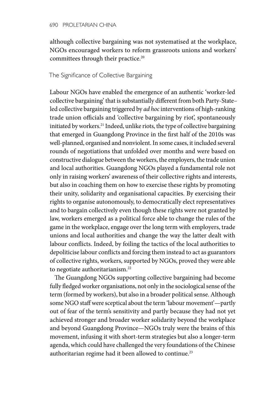although collective bargaining was not systematised at the workplace, NGOs encouraged workers to reform grassroots unions and workers' committees through their practice.20

## The Significance of Collective Bargaining

Labour NGOs have enabled the emergence of an authentic 'worker-led collective bargaining' that is substantially different from both Party-State– led collective bargaining triggered by *ad hoc* interventions of high-ranking trade union officials and 'collective bargaining by riot', spontaneously initiated by workers.<sup>21</sup> Indeed, unlike riots, the type of collective bargaining that emerged in Guangdong Province in the first half of the 2010s was well-planned, organised and nonviolent. In some cases, it included several rounds of negotiations that unfolded over months and were based on constructive dialogue between the workers, the employers, the trade union and local authorities. Guangdong NGOs played a fundamental role not only in raising workers' awareness of their collective rights and interests, but also in coaching them on how to exercise these rights by promoting their unity, solidarity and organisational capacities. By exercising their rights to organise autonomously, to democratically elect representatives and to bargain collectively even though these rights were not granted by law, workers emerged as a political force able to change the rules of the game in the workplace, engage over the long term with employers, trade unions and local authorities and change the way the latter dealt with labour conflicts. Indeed, by foiling the tactics of the local authorities to depoliticise labour conflicts and forcing them instead to act as guarantors of collective rights, workers, supported by NGOs, proved they were able to negotiate authoritarianism.<sup>22</sup>

The Guangdong NGOs supporting collective bargaining had become fully fledged worker organisations, not only in the sociological sense of the term (formed by workers), but also in a broader political sense. Although some NGO staff were sceptical about the term 'labour movement'—partly out of fear of the term's sensitivity and partly because they had not yet achieved stronger and broader worker solidarity beyond the workplace and beyond Guangdong Province—NGOs truly were the brains of this movement, infusing it with short-term strategies but also a longer-term agenda, which could have challenged the very foundations of the Chinese authoritarian regime had it been allowed to continue.<sup>23</sup>